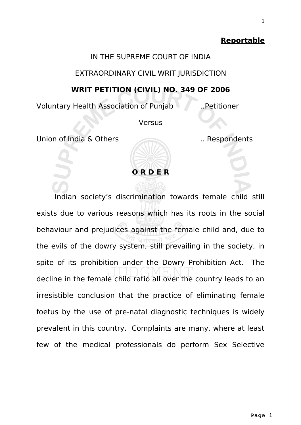#### **Reportable**

#### IN THE SUPREME COURT OF INDIA

### EXTRAORDINARY CIVIL WRIT JURISDICTION

# **WRIT PETITION (CIVIL) NO. 349 OF 2006**

Voluntary Health Association of Punjab ..Petitioner

**Versus** 

Union of India & Others ... Respondents



Indian society's discrimination towards female child still exists due to various reasons which has its roots in the social behaviour and prejudices against the female child and, due to the evils of the dowry system, still prevailing in the society, in spite of its prohibition under the Dowry Prohibition Act. The decline in the female child ratio all over the country leads to an irresistible conclusion that the practice of eliminating female foetus by the use of pre-natal diagnostic techniques is widely prevalent in this country. Complaints are many, where at least few of the medical professionals do perform Sex Selective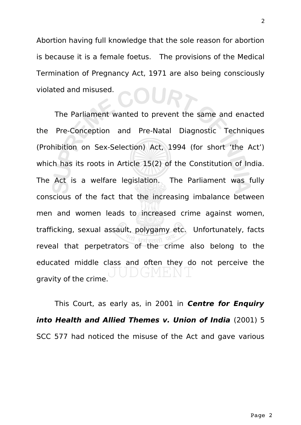Abortion having full knowledge that the sole reason for abortion is because it is a female foetus. The provisions of the Medical Termination of Pregnancy Act, 1971 are also being consciously violated and misused.

The Parliament wanted to prevent the same and enacted the Pre-Conception and Pre-Natal Diagnostic Techniques (Prohibition on Sex-Selection) Act, 1994 (for short 'the Act') which has its roots in Article 15(2) of the Constitution of India. The Act is a welfare legislation. The Parliament was fully conscious of the fact that the increasing imbalance between men and women leads to increased crime against women, trafficking, sexual assault, polygamy etc. Unfortunately, facts reveal that perpetrators of the crime also belong to the educated middle class and often they do not perceive the gravity of the crime.

This Court, as early as, in 2001 in **Centre for Enquiry into Health and Allied Themes v. Union of India** (2001) 5 SCC 577 had noticed the misuse of the Act and gave various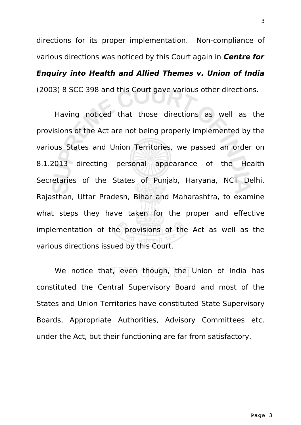directions for its proper implementation. Non-compliance of various directions was noticed by this Court again in **Centre for Enquiry into Health and Allied Themes v. Union of India** (2003) 8 SCC 398 and this Court gave various other directions.

Having noticed that those directions as well as the provisions of the Act are not being properly implemented by the various States and Union Territories, we passed an order on 8.1.2013 directing personal appearance of the Health Secretaries of the States of Punjab, Haryana, NCT Delhi, Rajasthan, Uttar Pradesh, Bihar and Maharashtra, to examine what steps they have taken for the proper and effective implementation of the provisions of the Act as well as the various directions issued by this Court.

We notice that, even though, the Union of India has constituted the Central Supervisory Board and most of the States and Union Territories have constituted State Supervisory Boards, Appropriate Authorities, Advisory Committees etc. under the Act, but their functioning are far from satisfactory.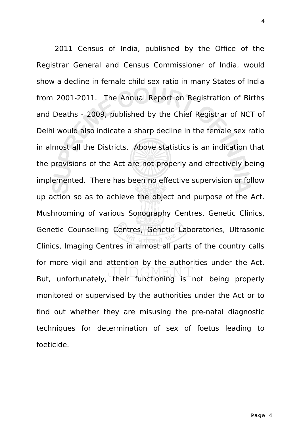2011 Census of India, published by the Office of the Registrar General and Census Commissioner of India, would show a decline in female child sex ratio in many States of India from 2001-2011. The Annual Report on Registration of Births and Deaths - 2009, published by the Chief Registrar of NCT of Delhi would also indicate a sharp decline in the female sex ratio in almost all the Districts. Above statistics is an indication that the provisions of the Act are not properly and effectively being implemented. There has been no effective supervision or follow up action so as to achieve the object and purpose of the Act. Mushrooming of various Sonography Centres, Genetic Clinics, Genetic Counselling Centres, Genetic Laboratories, Ultrasonic Clinics, Imaging Centres in almost all parts of the country calls for more vigil and attention by the authorities under the Act. But, unfortunately, their functioning is not being properly monitored or supervised by the authorities under the Act or to find out whether they are misusing the pre-natal diagnostic techniques for determination of sex of foetus leading to foeticide.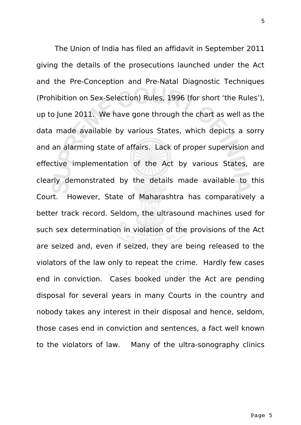The Union of India has filed an affidavit in September 2011 giving the details of the prosecutions launched under the Act and the Pre-Conception and Pre-Natal Diagnostic Techniques (Prohibition on Sex-Selection) Rules, 1996 (for short 'the Rules'), up to June 2011. We have gone through the chart as well as the data made available by various States, which depicts a sorry and an alarming state of affairs. Lack of proper supervision and effective implementation of the Act by various States, are clearly demonstrated by the details made available to this Court. However, State of Maharashtra has comparatively a better track record. Seldom, the ultrasound machines used for such sex determination in violation of the provisions of the Act are seized and, even if seized, they are being released to the violators of the law only to repeat the crime. Hardly few cases end in conviction. Cases booked under the Act are pending disposal for several years in many Courts in the country and nobody takes any interest in their disposal and hence, seldom, those cases end in conviction and sentences, a fact well known to the violators of law. Many of the ultra-sonography clinics

5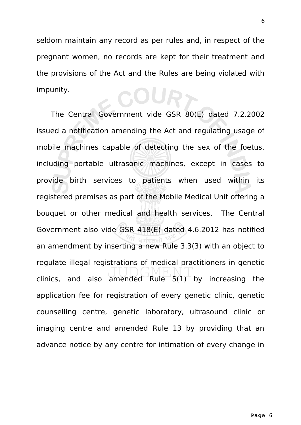seldom maintain any record as per rules and, in respect of the pregnant women, no records are kept for their treatment and the provisions of the Act and the Rules are being violated with impunity. 20UR7

The Central Government vide GSR 80(E) dated 7.2.2002 issued a notification amending the Act and regulating usage of mobile machines capable of detecting the sex of the foetus, including portable ultrasonic machines, except in cases to provide birth services to patients when used within its registered premises as part of the Mobile Medical Unit offering a bouquet or other medical and health services. The Central Government also vide GSR 418(E) dated 4.6.2012 has notified an amendment by inserting a new Rule 3.3(3) with an object to regulate illegal registrations of medical practitioners in genetic clinics, and also amended Rule  $5(1)^+$  by increasing the application fee for registration of every genetic clinic, genetic counselling centre, genetic laboratory, ultrasound clinic or imaging centre and amended Rule 13 by providing that an advance notice by any centre for intimation of every change in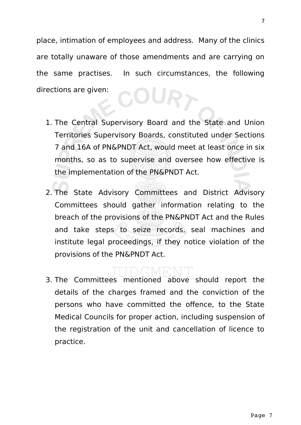place, intimation of employees and address. Many of the clinics are totally unaware of those amendments and are carrying on the same practises. In such circumstances, the following directions are given: OURT

- 1. The Central Supervisory Board and the State and Union Territories Supervisory Boards, constituted under Sections 7 and 16A of PN&PNDT Act, would meet at least once in six months, so as to supervise and oversee how effective is the implementation of the PN&PNDT Act.
- 2. The State Advisory Committees and District Advisory Committees should gather information relating to the breach of the provisions of the PN&PNDT Act and the Rules and take steps to seize records, seal machines and institute legal proceedings, if they notice violation of the provisions of the PN&PNDT Act.

3. The Committees mentioned above should report the details of the charges framed and the conviction of the persons who have committed the offence, to the State Medical Councils for proper action, including suspension of the registration of the unit and cancellation of licence to practice.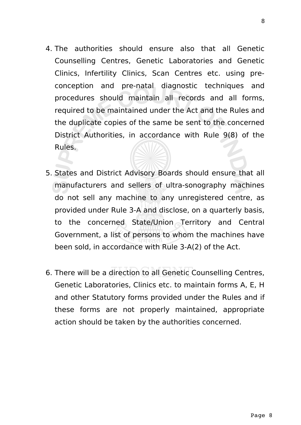- 4. The authorities should ensure also that all Genetic Counselling Centres, Genetic Laboratories and Genetic Clinics, Infertility Clinics, Scan Centres etc. using preconception and pre-natal diagnostic techniques and procedures should maintain all records and all forms, required to be maintained under the Act and the Rules and the duplicate copies of the same be sent to the concerned District Authorities, in accordance with Rule 9(8) of the Rules.
- 5. States and District Advisory Boards should ensure that all manufacturers and sellers of ultra-sonography machines do not sell any machine to any unregistered centre, as provided under Rule 3-A and disclose, on a quarterly basis, to the concerned State/Union Territory and Central Government, a list of persons to whom the machines have been sold, in accordance with Rule 3-A(2) of the Act.
- 6. There will be a direction to all Genetic Counselling Centres, Genetic Laboratories, Clinics etc. to maintain forms A, E, H and other Statutory forms provided under the Rules and if these forms are not properly maintained, appropriate action should be taken by the authorities concerned.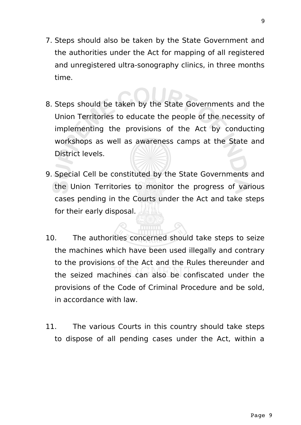- 7. Steps should also be taken by the State Government and the authorities under the Act for mapping of all registered and unregistered ultra-sonography clinics, in three months time.
- 8. Steps should be taken by the State Governments and the Union Territories to educate the people of the necessity of implementing the provisions of the Act by conducting workshops as well as awareness camps at the State and District levels.
- 9. Special Cell be constituted by the State Governments and the Union Territories to monitor the progress of various cases pending in the Courts under the Act and take steps for their early disposal.
- 10. The authorities concerned should take steps to seize the machines which have been used illegally and contrary to the provisions of the Act and the Rules thereunder and the seized machines can also be confiscated under the provisions of the Code of Criminal Procedure and be sold, in accordance with law.
- 11. The various Courts in this country should take steps to dispose of all pending cases under the Act, within a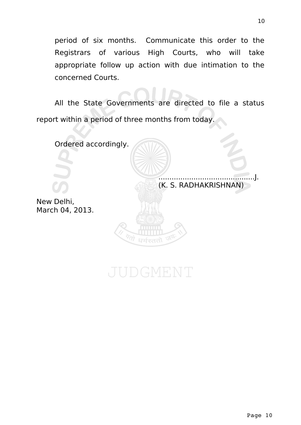period of six months. Communicate this order to the Registrars of various High Courts, who will take appropriate follow up action with due intimation to the concerned Courts.

All the State Governments are directed to file a status report within a period of three months from today.



UDGMENT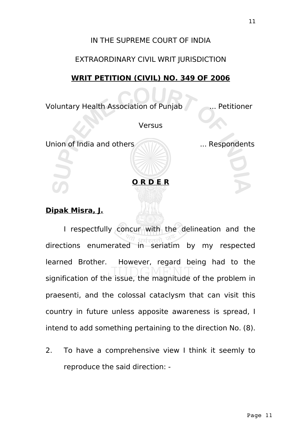#### IN THE SUPREME COURT OF INDIA

### EXTRAORDINARY CIVIL WRIT JURISDICTION

# **WRIT PETITION (CIVIL) NO. 349 OF 2006**

Voluntary Health Association of Punjab ... Petitioner

**Versus** 

Union of India and others **The Manual Strutter and Strutter** ... Respondents

**O R D E R**

# **Dipak Misra, J.**

I respectfully concur with the delineation and the directions enumerated in seriatim by my respected learned Brother. However, regard being had to the signification of the issue, the magnitude of the problem in praesenti, and the colossal cataclysm that can visit this country in future unless apposite awareness is spread, I intend to add something pertaining to the direction No. (8).

2. To have a comprehensive view I think it seemly to reproduce the said direction: -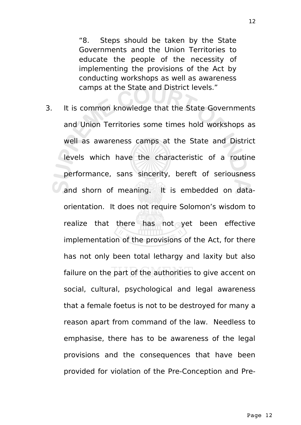"8. Steps should be taken by the State Governments and the Union Territories to educate the people of the necessity of implementing the provisions of the Act by conducting workshops as well as awareness camps at the State and District levels."

3. It is common knowledge that the State Governments and Union Territories some times hold workshops as well as awareness camps at the State and District levels which have the characteristic of a routine performance, sans sincerity, bereft of seriousness and shorn of meaning. It is embedded on dataorientation. It does not require Solomon's wisdom to realize that there has not yet been effective implementation of the provisions of the Act, for there has not only been total lethargy and laxity but also failure on the part of the authorities to give accent on social, cultural, psychological and legal awareness that a female foetus is not to be destroyed for many a reason apart from command of the law. Needless to emphasise, there has to be awareness of the legal provisions and the consequences that have been provided for violation of the Pre-Conception and Pre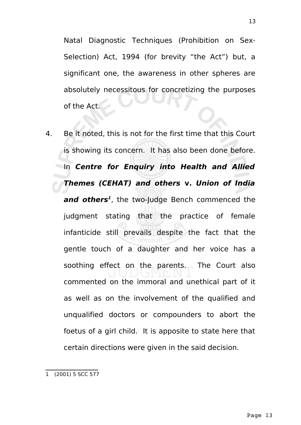Natal Diagnostic Techniques (Prohibition on Sex-Selection) Act, 1994 (for brevity "the Act") but, a significant one, the awareness in other spheres are absolutely necessitous for concretizing the purposes

of the Act.

4. Be it noted, this is not for the first time that this Court is showing its concern. It has also been done before. In **Centre for Enquiry into Health and Allied Themes (CEHAT) and others v. Union of India and others[1](#page-12-0)** , the two-Judge Bench commenced the judgment stating that the practice of female infanticide still prevails despite the fact that the gentle touch of a daughter and her voice has a soothing effect on the parents. The Court also commented on the immoral and unethical part of it as well as on the involvement of the qualified and unqualified doctors or compounders to abort the foetus of a girl child. It is apposite to state here that certain directions were given in the said decision.

<span id="page-12-0"></span><sup>1 (2001) 5</sup> SCC 577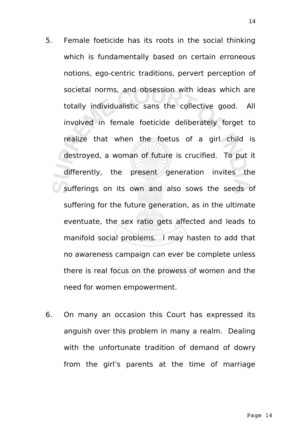- 5. Female foeticide has its roots in the social thinking which is fundamentally based on certain erroneous notions, ego-centric traditions, pervert perception of societal norms, and obsession with ideas which are totally individualistic sans the collective good. All involved in female foeticide deliberately forget to realize that when the foetus of a girl child is destroyed, a woman of future is crucified. To put it differently, the present generation invites the sufferings on its own and also sows the seeds of suffering for the future generation, as in the ultimate eventuate, the sex ratio gets affected and leads to manifold social problems. I may hasten to add that no awareness campaign can ever be complete unless there is real focus on the prowess of women and the need for women empowerment.
- 6. On many an occasion this Court has expressed its anguish over this problem in many a realm. Dealing with the unfortunate tradition of demand of dowry from the girl's parents at the time of marriage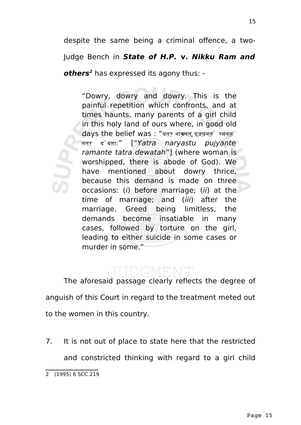despite the same being a criminal offence, a two-Judge Bench in **State of H.P. v. Nikku Ram and others[2](#page-14-0)** has expressed its agony thus: -

"Dowry, dowry and dowry. This is the painful repetition which confronts, and at times haunts, many parents of a girl child in this holy land of ours where, in good old  $\frac{1}{2}$  days the belief was : "यत्र नायसतु पूजयनत्रे रमनत्र तत्र देवता:" ["Yatra naryastu pujyante ramante tatra dewatah"] (where woman is worshipped, there is abode of God). We have mentioned about dowry thrice, because this demand is made on three occasions: (i) before marriage; (ii) at the time of marriage; and (iii) after the marriage. Greed being limitless, the demands become insatiable in many cases, followed by torture on the girl, leading to either suicide in some cases or murder in some."

The aforesaid passage clearly reflects the degree of anguish of this Court in regard to the treatment meted out to the women in this country.

7. It is not out of place to state here that the restricted and constricted thinking with regard to a girl child

<span id="page-14-0"></span><sup>2 (1995) 6</sup> SCC 219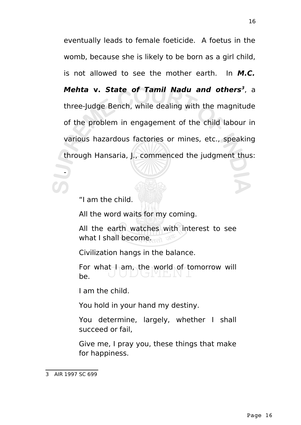eventually leads to female foeticide. A foetus in the womb, because she is likely to be born as a girl child, is not allowed to see the mother earth. In **M.C. Mehta v. State of Tamil Nadu and others[3](#page-15-0)** , a three-Judge Bench, while dealing with the magnitude of the problem in engagement of the child labour in various hazardous factories or mines, etc., speaking through Hansaria, J., commenced the judgment thus:

"I am the child.

All the word waits for my coming.

All the earth watches with interest to see what I shall become.

Civilization hangs in the balance.

For what  $I_1$  am, the world of tomorrow will be.

I am the child.

You hold in your hand my destiny.

You determine, largely, whether I shall succeed or fail,

Give me, I pray you, these things that make for happiness.

-

<span id="page-15-0"></span><sup>3</sup> AIR 1997 SC 699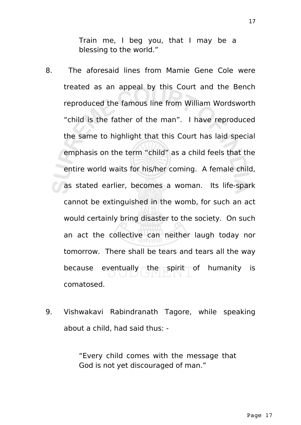Train me, I beg you, that I may be a blessing to the world."

- 8. The aforesaid lines from Mamie Gene Cole were treated as an appeal by this Court and the Bench reproduced the famous line from William Wordsworth "child is the father of the man". I have reproduced the same to highlight that this Court has laid special emphasis on the term "child" as a child feels that the entire world waits for his/her coming. A female child, as stated earlier, becomes a woman. Its life-spark cannot be extinguished in the womb, for such an act would certainly bring disaster to the society. On such an act the collective can neither laugh today nor tomorrow. There shall be tears and tears all the way because eventually the spirit of humanity is comatosed.
- 9. Vishwakavi Rabindranath Tagore, while speaking about a child, had said thus: -

"Every child comes with the message that God is not yet discouraged of man."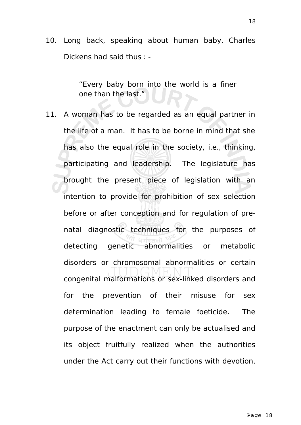10. Long back, speaking about human baby, Charles Dickens had said thus : -

> "Every baby born into the world is a finer one than the last."

11. A woman has to be regarded as an equal partner in the life of a man. It has to be borne in mind that she has also the equal role in the society, i.e., thinking, participating and leadership. The legislature has brought the present piece of legislation with an intention to provide for prohibition of sex selection before or after conception and for regulation of prenatal diagnostic techniques for the purposes of detecting genetic abnormalities or metabolic disorders or chromosomal abnormalities or certain congenital malformations or sex-linked disorders and for the prevention of their misuse for sex determination leading to female foeticide. The purpose of the enactment can only be actualised and its object fruitfully realized when the authorities under the Act carry out their functions with devotion,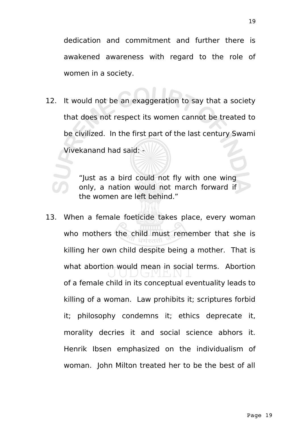dedication and commitment and further there is awakened awareness with regard to the role of women in a society.

12. It would not be an exaggeration to say that a society that does not respect its women cannot be treated to be civilized. In the first part of the last century Swami Vivekanand had said: -

> "Just as a bird could not fly with one wing only, a nation would not march forward if the women are left behind."

13. When a female foeticide takes place, every woman who mothers the child must remember that she is killing her own child despite being a mother. That is what abortion would mean in social terms. Abortion of a female child in its conceptual eventuality leads to killing of a woman. Law prohibits it; scriptures forbid it; philosophy condemns it; ethics deprecate it, morality decries it and social science abhors it. Henrik Ibsen emphasized on the individualism of woman. John Milton treated her to be the best of all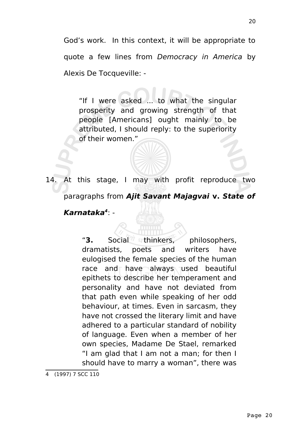God's work. In this context, it will be appropriate to quote a few lines from Democracy in America by Alexis De Tocqueville: -

"If I were asked ... to what the singular prosperity and growing strength of that people [Americans] ought mainly to be attributed, I should reply: to the superiority of their women."

14. At this stage, I may with profit reproduce two paragraphs from **Ajit Savant Majagvai v. State of Karnataka[4](#page-19-0)** : -

> "**3.** Social<sup>7</sup> athinkers, philosophers, dramatists, poets and writers have eulogised the female species of the human race and  $\uparrow$  have always used beautiful epithets to describe her temperament and personality and have not deviated from that path even while speaking of her odd behaviour, at times. Even in sarcasm, they have not crossed the literary limit and have adhered to a particular standard of nobility of language. Even when a member of her own species, Madame De Stael, remarked "I am glad that I am not a man; for then I should have to marry a woman", there was

<span id="page-19-0"></span><sup>4 (1997) 7</sup> SCC 110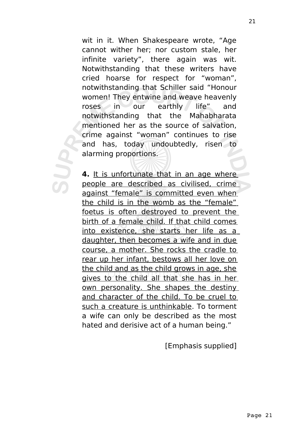wit in it. When Shakespeare wrote, "Age cannot wither her; nor custom stale, her infinite variety", there again was wit. Notwithstanding that these writers have cried hoarse for respect for "woman", notwithstanding that Schiller said "Honour women! They entwine and weave heavenly roses in our earthly life" and notwithstanding that the Mahabharata mentioned her as the source of salvation, crime against "woman" continues to rise and has, today undoubtedly, risen to alarming proportions.

**4.** It is unfortunate that in an age where people are described as civilised, crime against "female" is committed even when the child is in the womb as the "female" foetus is often destroyed to prevent the birth of a female child. If that child comes into existence, she starts her life as a daughter, then becomes a wife and in due course, a mother. She rocks the cradle to rear up her infant, bestows all her love on the child and as the child grows in age, she gives to the child all that she has in her own personality. She shapes the destiny and character of the child. To be cruel to such a creature is unthinkable. To torment a wife can only be described as the most hated and derisive act of a human being."

[Emphasis supplied]

21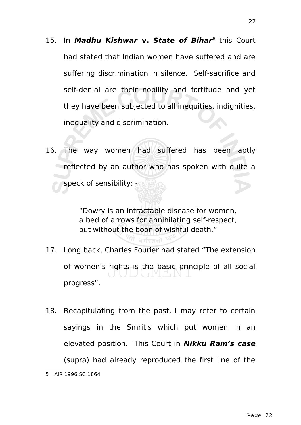- 1[5](#page-21-0). In Madhu Kishwar v. State of Bihar<sup>5</sup> this Court had stated that Indian women have suffered and are suffering discrimination in silence. Self-sacrifice and self-denial are their nobility and fortitude and yet they have been subjected to all inequities, indignities, inequality and discrimination.
- 16. The way women had suffered has been aptly reflected by an author who has spoken with quite a speck of sensibility: -

"Dowry is an intractable disease for women, a bed of arrows for annihilating self-respect, but without the boon of wishful death."

17. Long back, Charles Fourier had stated "The extension of women's rights is the basic principle of all social progress".

<sup>लि</sup> धर्मस्ततो <sup>उ</sup>

18. Recapitulating from the past, I may refer to certain sayings in the Smritis which put women in an elevated position. This Court in **Nikku Ram's case** (supra) had already reproduced the first line of the

<span id="page-21-0"></span><sup>5</sup> AIR 1996 SC 1864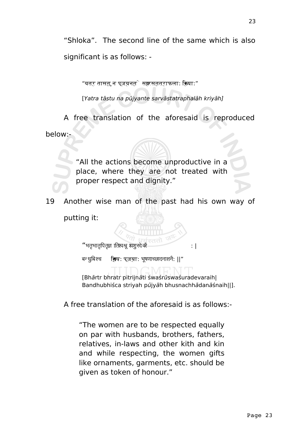"Shloka". The second line of the same which is also significant is as follows: -

 $"$ यत् $\tau$  तासत्, न पूजयनत $`$  सक्नरसतत्राफला: क्रिया: $"$ 

[Yatra tāstu na pūjyante sarvāstatraphalāh kriyāh]

A free translation of the aforesaid is reproduced below:-

> "All the actions become unproductive in a place, where they are not treated with proper respect and dignity."

19 Another wise man of the past had his own way of putting it:

 $"$ भतृभातृपितृज्ञ ।तिश्वश्रू श्चशु रदे वरै : | $\qquad \qquad : \; \mid$ 

बन्धुबिश्च **ह्सिय:** पूजया: भूषणाच्छादनाशनै: ||″

[Bhārtr bhratr pitrijnāti śwaśrūswaśuradevaraih| Bandhubhiśca striyah pūjyāh bhusnachhādanāśnaih||].

A free translation of the aforesaid is as follows:-

"The women are to be respected equally on par with husbands, brothers, fathers, relatives, in-laws and other kith and kin and while respecting, the women gifts like ornaments, garments, etc. should be given as token of honour."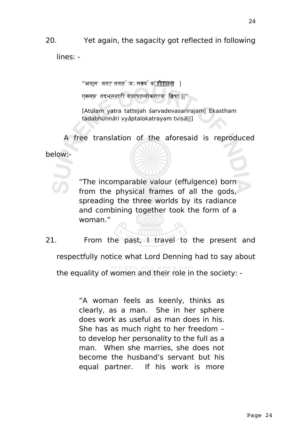# 20. Yet again, the sagacity got reflected in following

lines: -

"अतुलं यत्र तत्तेज: स्वरदेव रीरजम शशशशश श |

एकस्थं तदभून्नारी व्याप्तलोकत्रयं ित्वषा ||"

[Atulam yatra tattejah śarvadevasarirajam| Ekastham tadabhūnnāri vyāptalokatrayam tvisā||]

A free translation of the aforesaid is reproduced

below:-

"The incomparable valour (effulgence) born from the physical frames of all the gods, spreading the three worlds by its radiance and combining together took the form of a woman."

21. From the past, I travel to the present and

respectfully notice what Lord Denning had to say about

the equality of women and their role in the society: -

"A woman feels as keenly, thinks as clearly, as a man. She in her sphere does work as useful as man does in his. She has as much right to her freedom – to develop her personality to the full as a man. When she marries, she does not become the husband's servant but his equal partner. If his work is more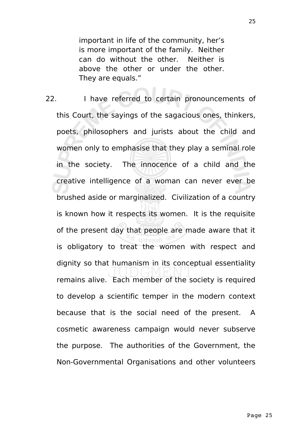important in life of the community, her's is more important of the family. Neither can do without the other. Neither is above the other or under the other. They are equals."

22. I have referred to certain pronouncements of this Court, the sayings of the sagacious ones, thinkers, poets, philosophers and jurists about the child and women only to emphasise that they play a seminal role in the society. The innocence of a child and the creative intelligence of a woman can never ever be brushed aside or marginalized. Civilization of a country is known how it respects its women. It is the requisite of the present day that people are made aware that it is obligatory to treat the women with respect and dignity so that humanism in its conceptual essentiality remains alive. Each member of the society is required to develop a scientific temper in the modern context because that is the social need of the present. A cosmetic awareness campaign would never subserve the purpose. The authorities of the Government, the Non-Governmental Organisations and other volunteers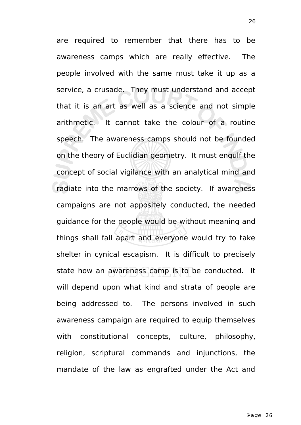are required to remember that there has to be awareness camps which are really effective. The people involved with the same must take it up as a service, a crusade. They must understand and accept that it is an art as well as a science and not simple arithmetic. It cannot take the colour of a routine speech. The awareness camps should not be founded on the theory of Euclidian geometry. It must engulf the concept of social vigilance with an analytical mind and radiate into the marrows of the society. If awareness campaigns are not appositely conducted, the needed guidance for the people would be without meaning and things shall fall apart and everyone would try to take shelter in cynical escapism. It is difficult to precisely state how an awareness camp is to be conducted. It will depend upon what kind and strata of people are being addressed to. The persons involved in such awareness campaign are required to equip themselves with constitutional concepts, culture, philosophy, religion, scriptural commands and injunctions, the mandate of the law as engrafted under the Act and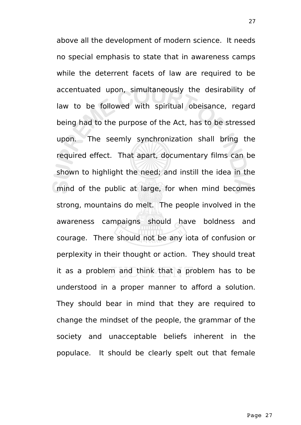above all the development of modern science. It needs no special emphasis to state that in awareness camps while the deterrent facets of law are required to be accentuated upon, simultaneously the desirability of law to be followed with spiritual obeisance, regard being had to the purpose of the Act, has to be stressed upon. The seemly synchronization shall bring the required effect. That apart, documentary films can be shown to highlight the need; and instill the idea in the mind of the public at large, for when mind becomes strong, mountains do melt. The people involved in the awareness campaigns should have boldness and courage. There should not be any iota of confusion or perplexity in their thought or action. They should treat it as a problem and think that a problem has to be understood in a proper manner to afford a solution. They should bear in mind that they are required to change the mindset of the people, the grammar of the society and unacceptable beliefs inherent in the populace. It should be clearly spelt out that female